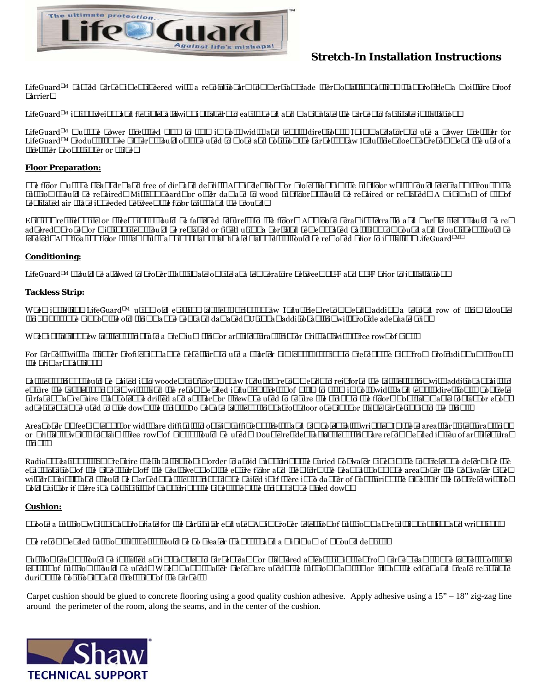

# **Stretch-In Installation Instructions**

LifeGuard™ backed carpet is engineered with a revolutionary commercial grade thermoplastic backing that provides a moisture proof barrier.

LifeGuard<sup>™</sup> is lightweight and flexible, allowing installers to easily bend and manipulate the carpet to facilitate installation.

LifeGuard<sup>TM</sup> must be power stretched 0.5% to 1.0% in both width and length directions. It is mandatory to use a power stretcher for LifeGuard<sup>TM</sup> products. Knee kickers should only be used to move and position the carpet. Shaw Industries does not recommend the use of a stretcher hook, stinger or spike.

### **Floor Preparation:**

The floor must be clean, dry and free of dirt and debris. Any indentions or projections in the subfloor which could telegraph through the cushion should be repaired. Missing boards or other damage to wood subfloors should be repaired or replaced. A minimum of 18" of ventilated air space is needed between the floor joists and the ground.

Existing resilient tile or sheet vinyl should be fastened securely to the floor. Any loose ceramic, terrazzo and marble tiles should be readhered. Broken or missing tiles should be replaced or filled using a Portland cement based patching compound and grout lines should be leveled. Any floating floor system, such as vinyl plank, laminate plank, etc. should be removed prior to installing LifeGuardTM.

## **Conditioning:**

LifeGuard<sup>TM</sup> should be allowed to properly acclimate on site at a temperature between 65<sup>0</sup>F and 85<sup>0</sup>F prior to installation.

## **Tackless Strip:**

When installing LifeGuard™ using old existing tackless strips, Shaw Industries recommends adding a second row of strip (double stripping). The pins on the old strip may be bent and damaged. Using an additional strip will provide adequate grip.

When installing new tackless strip, use a premium strip or architectural strip, or Tri-Tac, with three rows of pins.

For carpets with a thinner profile, it may be necessary to use a shorter pin length (J-pin) to prevent the pins from protruding up through the primary backing.

Tackless strips should be nailed into wooden subfloors. Shaw Industry recommends to reinforce the tackless strip with additional nails to ensure the tackless strip can withstand the recommended industry stretch of 0.5% to 1.0% in both width and length directions. Concrete surfaces may require that holes be drilled and anchors or screws be used to secure the strips to the floor. Non-flammable contact or epoxy adhesives can be used to glue down the strips. Do not use tackless strips across door openings or staple carpeting into the strips.

Areas over 30 feet in length or width are difficult to obtain sufficient stretch and can potentially wrinkle. In these areas, architectural strips or Tri-tack, which contain three rows of pins, should be used. Double residential tackless strips are recommended in lieu of architectural strips.

Radiant heating systems require special attention in order to avoid puncturing the buried hot water pipes in the concrete. To determine the exact location of the pipes, turn off the heat, wet mop the entire floor and then turn the heat back on. The areas over the hot water pipes will dry quickly and should be marked. Tackless strips can be nailed in if there is no danger of puncturing the pipes. If the concrete will not hold nails or if there is a possibility of puncturing the pipes, then the strips can be glued down.

## **Cushion:**

Choose a cushion which is appropriate for the particular end use. An improper selection of cushion may result in buckling and wrinkling.

The recommended cushion thickness should be no greater than  $1/2$ " and a minimum of 6 pound density.

Cushion seams should be installed at right angles to carpet seams or staggered at least six inches from carpet seams. The longest possible lengths of cushion should be used. When many smaller pieces are used, the cushion may slip or lift at the edges and create resistance during the positioning and stretching of the carpet.

Carpet cushion should be glued to concrete flooring using a good quality cushion adhesive. Apply adhesive using a  $15" - 18"$  zig-zag line around the perimeter of the room, along the seams, and in the center of the cushion.